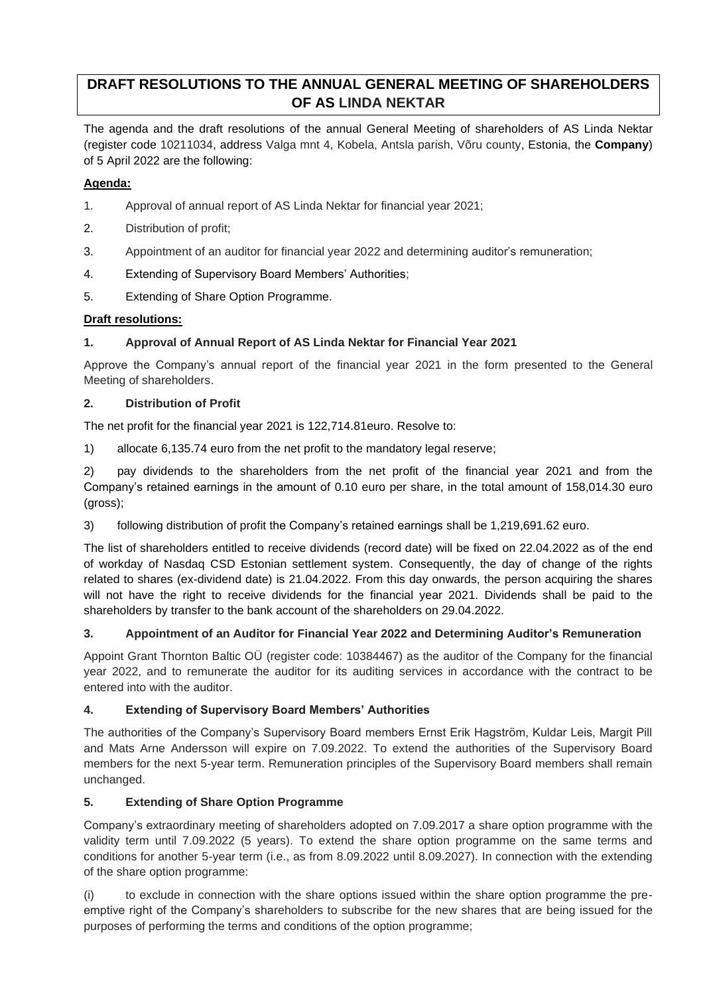# **DRAFT RESOLUTIONS TO THE ANNUAL GENERAL MEETING OF SHAREHOLDERS OF AS LINDA NEKTAR**

The agenda and the draft resolutions of the annual General Meeting of shareholders of AS Linda Nektar (register code 10211034, address Valga mnt 4, Kobela, Antsla parish, Võru county, Estonia, the **Company**) of 5 April 2022 are the following:

### **Agenda:**

- 1. Approval of annual report of AS Linda Nektar for financial year 2021;
- 2. Distribution of profit;
- 3. Appointment of an auditor for financial year 2022 and determining auditor's remuneration;
- 4. Extending of Supervisory Board Members' Authorities;
- 5. Extending of Share Option Programme.

## **Draft resolutions:**

## **1. Approval of Annual Report of AS Linda Nektar for Financial Year 2021**

Approve the Company's annual report of the financial year 2021 in the form presented to the General Meeting of shareholders.

#### **2. Distribution of Profit**

The net profit for the financial year 2021 is 122,714.81euro. Resolve to:

1) allocate 6,135.74 euro from the net profit to the mandatory legal reserve;

2) pay dividends to the shareholders from the net profit of the financial year 2021 and from the Company's retained earnings in the amount of 0.10 euro per share, in the total amount of 158,014.30 euro (gross);

3) following distribution of profit the Company's retained earnings shall be 1,219,691.62 euro.

The list of shareholders entitled to receive dividends (record date) will be fixed on 22.04.2022 as of the end of workday of Nasdaq CSD Estonian settlement system. Consequently, the day of change of the rights related to shares (ex-dividend date) is 21.04.2022. From this day onwards, the person acquiring the shares will not have the right to receive dividends for the financial year 2021. Dividends shall be paid to the shareholders by transfer to the bank account of the shareholders on 29.04.2022.

#### **3. Appointment of an Auditor for Financial Year 2022 and Determining Auditor's Remuneration**

Appoint Grant Thornton Baltic OÜ (register code: 10384467) as the auditor of the Company for the financial year 2022, and to remunerate the auditor for its auditing services in accordance with the contract to be entered into with the auditor.

#### **4. Extending of Supervisory Board Members' Authorities**

The authorities of the Company's Supervisory Board members Ernst Erik Hagström, Kuldar Leis, Margit Pill and Mats Arne Andersson will expire on 7.09.2022. To extend the authorities of the Supervisory Board members for the next 5-year term. Remuneration principles of the Supervisory Board members shall remain unchanged.

#### **5. Extending of Share Option Programme**

Company's extraordinary meeting of shareholders adopted on 7.09.2017 a share option programme with the validity term until 7.09.2022 (5 years). To extend the share option programme on the same terms and conditions for another 5-year term (i.e., as from 8.09.2022 until 8.09.2027). In connection with the extending of the share option programme:

(i) to exclude in connection with the share options issued within the share option programme the preemptive right of the Company's shareholders to subscribe for the new shares that are being issued for the purposes of performing the terms and conditions of the option programme;